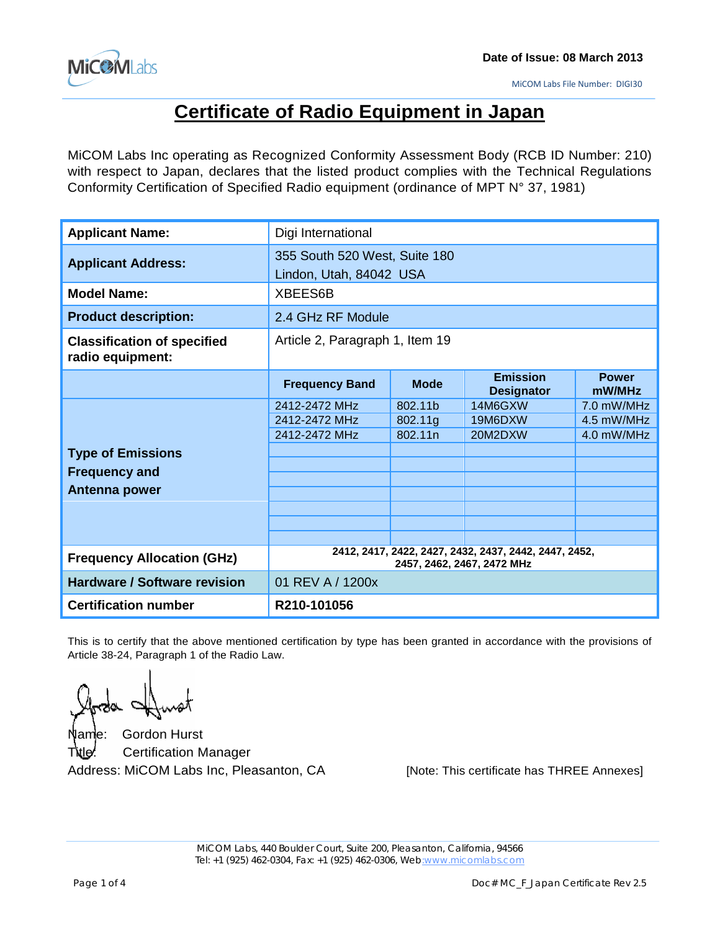

# **Certificate of Radio Equipment in Japan**

MiCOM Labs Inc operating as Recognized Conformity Assessment Body (RCB ID Number: 210) with respect to Japan, declares that the listed product complies with the Technical Regulations Conformity Certification of Specified Radio equipment (ordinance of MPT N° 37, 1981)

| <b>Applicant Name:</b>                                 | Digi International                                                                  |             |                                      |                        |  |  |
|--------------------------------------------------------|-------------------------------------------------------------------------------------|-------------|--------------------------------------|------------------------|--|--|
| <b>Applicant Address:</b>                              | 355 South 520 West, Suite 180<br>Lindon, Utah, 84042 USA                            |             |                                      |                        |  |  |
| <b>Model Name:</b>                                     | XBEES6B                                                                             |             |                                      |                        |  |  |
| <b>Product description:</b>                            | 2.4 GHz RF Module                                                                   |             |                                      |                        |  |  |
| <b>Classification of specified</b><br>radio equipment: | Article 2, Paragraph 1, Item 19                                                     |             |                                      |                        |  |  |
|                                                        | <b>Frequency Band</b>                                                               | <b>Mode</b> | <b>Emission</b><br><b>Designator</b> | <b>Power</b><br>mW/MHz |  |  |
|                                                        | 2412-2472 MHz                                                                       | 802.11b     | 14M6GXW                              | 7.0 mW/MHz             |  |  |
|                                                        | 2412-2472 MHz                                                                       | 802.11g     | 19M6DXW                              | 4.5 mW/MHz             |  |  |
|                                                        | 2412-2472 MHz                                                                       | 802.11n     | 20M2DXW                              | 4.0 mW/MHz             |  |  |
| <b>Type of Emissions</b>                               |                                                                                     |             |                                      |                        |  |  |
| <b>Frequency and</b>                                   |                                                                                     |             |                                      |                        |  |  |
| Antenna power                                          |                                                                                     |             |                                      |                        |  |  |
|                                                        |                                                                                     |             |                                      |                        |  |  |
|                                                        |                                                                                     |             |                                      |                        |  |  |
|                                                        |                                                                                     |             |                                      |                        |  |  |
| <b>Frequency Allocation (GHz)</b>                      | 2412, 2417, 2422, 2427, 2432, 2437, 2442, 2447, 2452,<br>2457, 2462, 2467, 2472 MHz |             |                                      |                        |  |  |
| <b>Hardware / Software revision</b>                    | 01 REV A / 1200x                                                                    |             |                                      |                        |  |  |
| <b>Certification number</b>                            | R210-101056                                                                         |             |                                      |                        |  |  |

This is to certify that the above mentioned certification by type has been granted in accordance with the provisions of Article 38-24, Paragraph 1 of the Radio Law.

Name: Gordon Hurst Title: Certification Manager

Address: MiCOM Labs Inc, Pleasanton, CA [Note: This certificate has THREE Annexes]

MiCOM Labs, 440 Boulder Court, Suite 200, Pleasanton, California, 94566 Tel: +1 (925) 462-0304, Fax: +1 (925) 462-0306, Web:www.micomlabs.com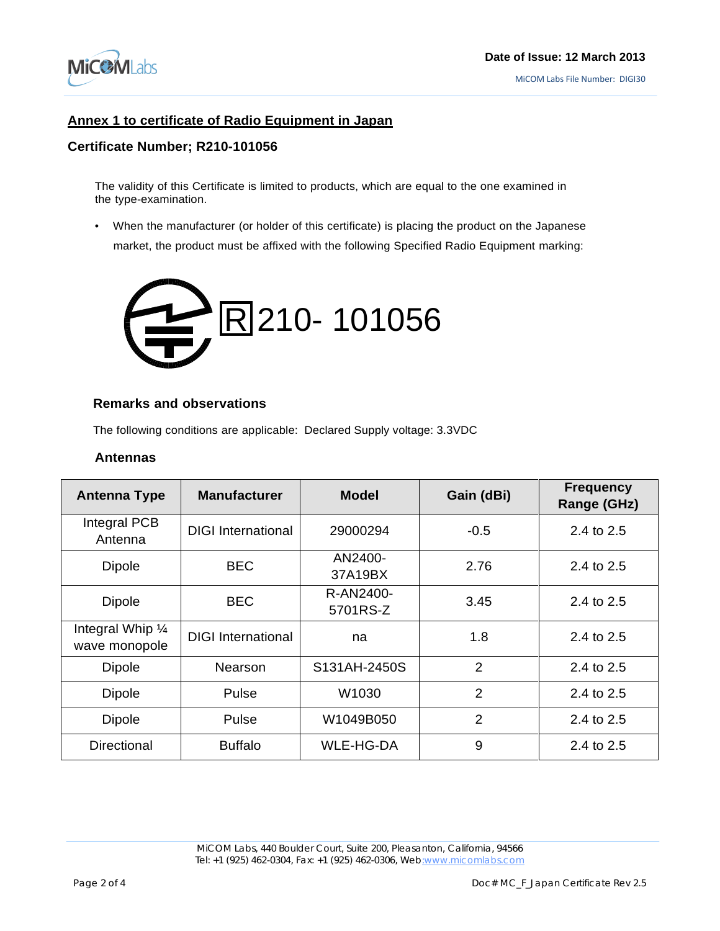

# **Annex 1 to certificate of Radio Equipment in Japan**

#### **Certificate Number; R210-101056**

The validity of this Certificate is limited to products, which are equal to the one examined in the type-examination.

• When the manufacturer (or holder of this certificate) is placing the product on the Japanese market, the product must be affixed with the following Specified Radio Equipment marking:



#### **Remarks and observations**

The following conditions are applicable: Declared Supply voltage: 3.3VDC

#### **Antennas**

| <b>Antenna Type</b>                | <b>Manufacturer</b>       | <b>Model</b>          | Gain (dBi)     | <b>Frequency</b><br>Range (GHz) |
|------------------------------------|---------------------------|-----------------------|----------------|---------------------------------|
| Integral PCB<br>Antenna            | <b>DIGI</b> International | 29000294              | $-0.5$         | 2.4 to 2.5                      |
| <b>Dipole</b>                      | <b>BEC</b>                | AN2400-<br>37A19BX    | 2.76           | 2.4 to 2.5                      |
| <b>Dipole</b>                      | <b>BEC</b>                | R-AN2400-<br>5701RS-Z | 3.45           | 2.4 to 2.5                      |
| Integral Whip 1/4<br>wave monopole | <b>DIGI International</b> | na                    | 1.8            | 2.4 to 2.5                      |
| <b>Dipole</b>                      | Nearson                   | S131AH-2450S          | $\overline{2}$ | 2.4 to 2.5                      |
| <b>Dipole</b>                      | Pulse                     | W1030                 | 2              | 2.4 to 2.5                      |
| Dipole                             | Pulse                     | W1049B050             | $\overline{2}$ | 2.4 to 2.5                      |
| Directional                        | <b>Buffalo</b>            | <b>WLE-HG-DA</b>      | 9              | 2.4 to 2.5                      |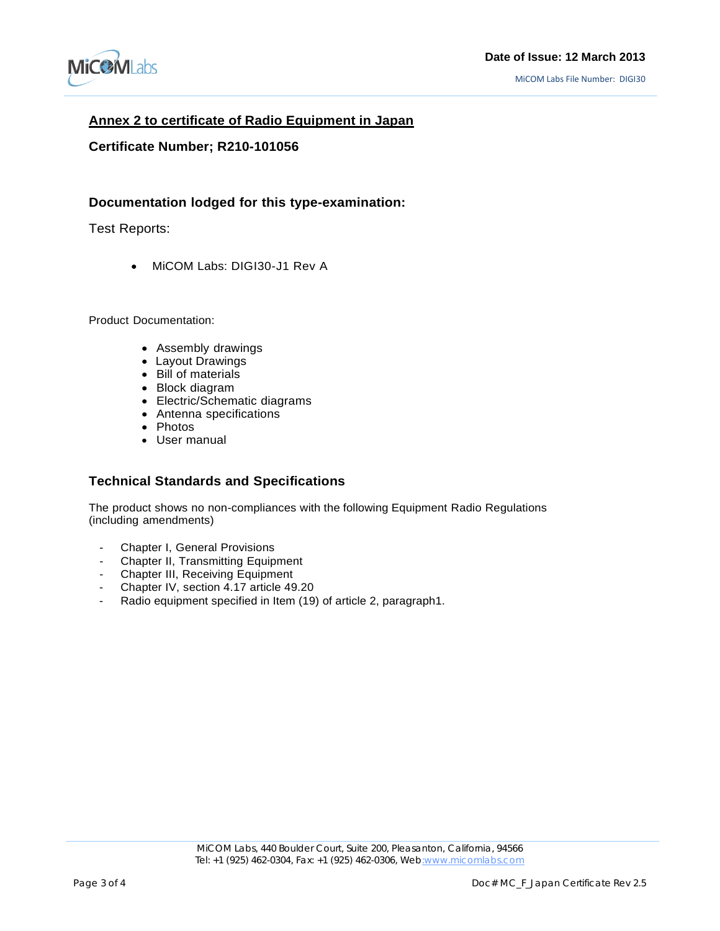

# **Annex 2 to certificate of Radio Equipment in Japan**

#### **Certificate Number; R210-101056**

### **Documentation lodged for this type-examination:**

Test Reports:

• MiCOM Labs: DIGI30-J1 Rev A

Product Documentation:

- Assembly drawings
- Layout Drawings
- Bill of materials
- Block diagram
- Electric/Schematic diagrams
- $\bullet$  Antenna specifications
- Photos
- User manual

#### **Technical Standards and Specifications**

The product shows no non-compliances with the following Equipment Radio Regulations (including amendments)

- Chapter I, General Provisions
- Chapter II, Transmitting Equipment
- Chapter III, Receiving Equipment
- Chapter IV, section 4.17 article 49.20
- Radio equipment specified in Item (19) of article 2, paragraph1.